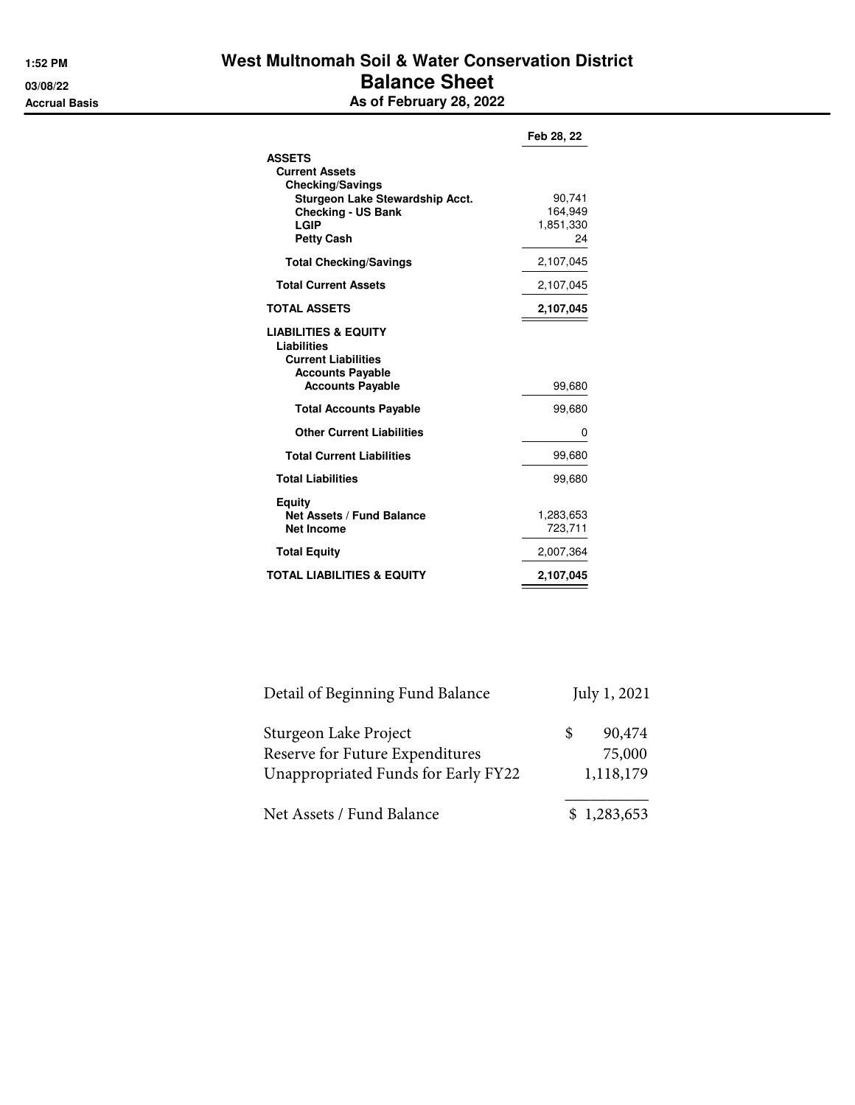## **1:52 PM West Multnomah Soil & Water Conservation District 03/08/22 Balance Sheet Accrual Basis As of February 28, 2022**

|                                                                                                                                                                       | Feb 28, 22                           |
|-----------------------------------------------------------------------------------------------------------------------------------------------------------------------|--------------------------------------|
| <b>ASSETS</b><br><b>Current Assets</b><br><b>Checking/Savings</b><br><b>Sturgeon Lake Stewardship Acct.</b><br><b>Checking - US Bank</b><br>LGIP<br><b>Petty Cash</b> | 90,741<br>164,949<br>1,851,330<br>24 |
| <b>Total Checking/Savings</b>                                                                                                                                         | 2,107,045                            |
| <b>Total Current Assets</b>                                                                                                                                           | 2.107,045                            |
| <b>TOTAL ASSETS</b>                                                                                                                                                   | 2,107,045                            |
| <b>LIABILITIES &amp; EQUITY</b><br>Liabilities<br><b>Current Liabilities</b><br><b>Accounts Payable</b><br><b>Accounts Payable</b>                                    | 99,680                               |
| <b>Total Accounts Payable</b>                                                                                                                                         | 99,680                               |
| <b>Other Current Liabilities</b>                                                                                                                                      | 0                                    |
| <b>Total Current Liabilities</b>                                                                                                                                      | 99,680                               |
| <b>Total Liabilities</b>                                                                                                                                              | 99,680                               |
| Equity<br><b>Net Assets / Fund Balance</b><br><b>Net Income</b>                                                                                                       | 1,283,653<br>723,711                 |
| <b>Total Equity</b>                                                                                                                                                   | 2,007,364                            |
| <b>TOTAL LIABILITIES &amp; EQUITY</b>                                                                                                                                 | 2,107,045                            |

| Detail of Beginning Fund Balance    |    | July 1, 2021 |
|-------------------------------------|----|--------------|
| Sturgeon Lake Project               | S. | 90,474       |
| Reserve for Future Expenditures     |    | 75,000       |
| Unappropriated Funds for Early FY22 |    | 1,118,179    |
| Net Assets / Fund Balance           |    | \$1,283,653  |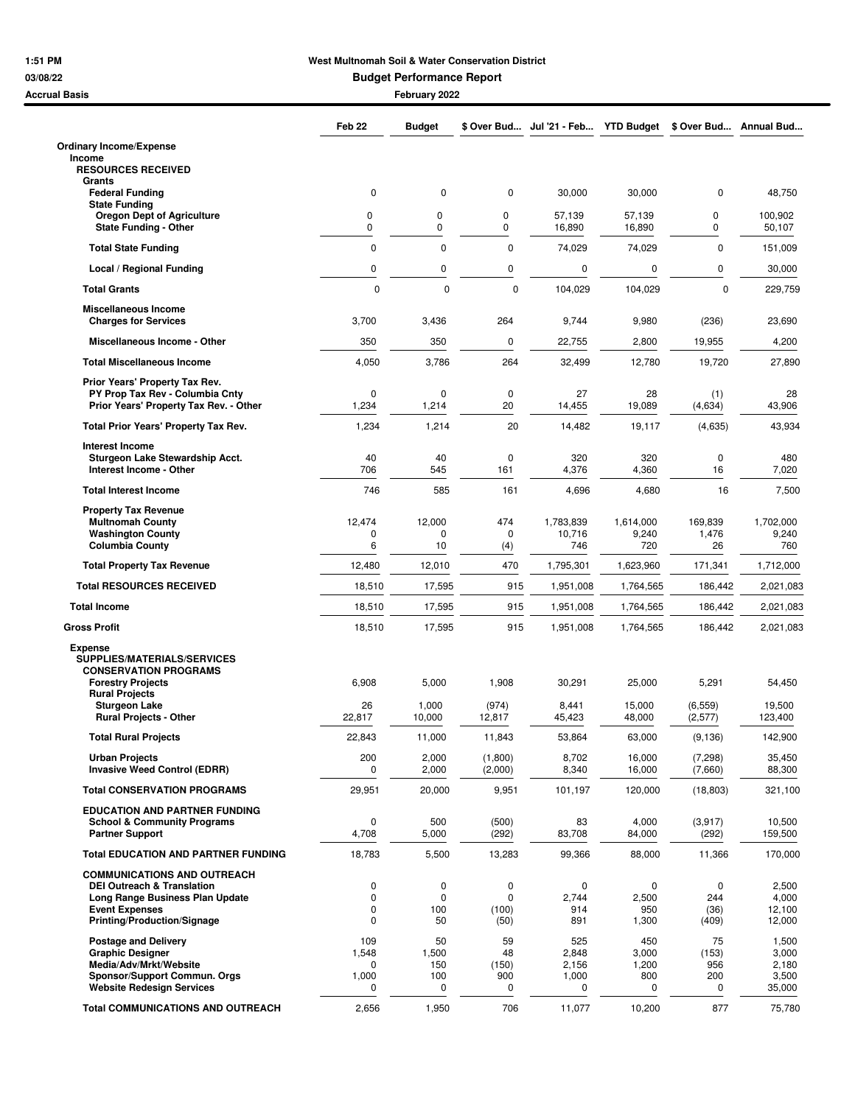## **1:51 PM West Multnomah Soil & Water Conservation District**

**03/08/22 Budget Performance Report**

| <b>Accrual Basis</b>                                                          |                      | February 2022    |                    |                  |                   |                      |                   |
|-------------------------------------------------------------------------------|----------------------|------------------|--------------------|------------------|-------------------|----------------------|-------------------|
|                                                                               | Feb <sub>22</sub>    | <b>Budget</b>    | \$ Over Bud        | Jul '21 - Feb    | <b>YTD Budget</b> | \$ Over Bud          | Annual Bud        |
| <b>Ordinary Income/Expense</b>                                                |                      |                  |                    |                  |                   |                      |                   |
| Income<br><b>RESOURCES RECEIVED</b>                                           |                      |                  |                    |                  |                   |                      |                   |
| Grants<br><b>Federal Funding</b>                                              | 0                    | $\mathbf 0$      | $\mathbf 0$        | 30,000           | 30,000            | 0                    | 48,750            |
| <b>State Funding</b>                                                          |                      |                  |                    |                  |                   |                      |                   |
| <b>Oregon Dept of Agriculture</b><br><b>State Funding - Other</b>             | 0<br>0               | 0<br>0           | 0<br>0             | 57,139<br>16,890 | 57,139<br>16,890  | 0<br>0               | 100,902<br>50,107 |
| <b>Total State Funding</b>                                                    | $\mathbf 0$          | $\mathbf 0$      | 0                  | 74,029           | 74,029            | $\mathbf 0$          | 151,009           |
| Local / Regional Funding                                                      | 0                    | 0                | 0                  | 0                | 0                 | 0                    | 30,000            |
| <b>Total Grants</b>                                                           | $\mathbf 0$          | $\mathbf 0$      | $\mathbf 0$        | 104,029          | 104,029           | 0                    | 229,759           |
| <b>Miscellaneous Income</b><br><b>Charges for Services</b>                    | 3,700                | 3,436            | 264                | 9,744            | 9,980             | (236)                | 23,690            |
| Miscellaneous Income - Other                                                  | 350                  | 350              | 0                  | 22,755           | 2,800             | 19,955               | 4,200             |
| <b>Total Miscellaneous Income</b>                                             | 4,050                | 3,786            | 264                | 32,499           | 12,780            | 19,720               | 27,890            |
| Prior Years' Property Tax Rev.                                                |                      |                  |                    |                  |                   |                      |                   |
| PY Prop Tax Rev - Columbia Cnty<br>Prior Years' Property Tax Rev. - Other     | 0<br>1,234           | 0<br>1,214       | $\mathbf 0$<br>20  | 27<br>14,455     | 28<br>19,089      | (1)<br>(4,634)       | 28<br>43,906      |
| Total Prior Years' Property Tax Rev.                                          | 1,234                | 1,214            | 20                 | 14,482           | 19,117            | (4,635)              | 43,934            |
| <b>Interest Income</b>                                                        |                      |                  |                    |                  |                   |                      |                   |
| Sturgeon Lake Stewardship Acct.<br>Interest Income - Other                    | 40<br>706            | 40<br>545        | 0<br>161           | 320<br>4,376     | 320<br>4,360      | $\mathbf 0$<br>16    | 480<br>7,020      |
| <b>Total Interest Income</b>                                                  | 746                  | 585              | 161                | 4,696            | 4,680             | 16                   | 7,500             |
| <b>Property Tax Revenue</b><br><b>Multnomah County</b>                        | 12,474               | 12,000           | 474                | 1,783,839        | 1,614,000         | 169,839              | 1,702,000         |
| <b>Washington County</b><br><b>Columbia County</b>                            | 0<br>6               | $\Omega$<br>10   | 0<br>(4)           | 10,716<br>746    | 9,240<br>720      | 1,476<br>26          | 9,240<br>760      |
| <b>Total Property Tax Revenue</b>                                             | 12,480               | 12,010           | 470                | 1,795,301        | 1,623,960         | 171,341              | 1,712,000         |
| <b>Total RESOURCES RECEIVED</b>                                               | 18,510               | 17,595           | 915                | 1,951,008        | 1,764,565         | 186,442              | 2,021,083         |
| <b>Total Income</b>                                                           | 18,510               | 17,595           | 915                | 1,951,008        | 1,764,565         | 186,442              | 2,021,083         |
| <b>Gross Profit</b>                                                           | 18,510               | 17,595           | 915                | 1,951,008        | 1,764,565         | 186,442              | 2,021,083         |
| <b>Expense</b><br>SUPPLIES/MATERIALS/SERVICES<br><b>CONSERVATION PROGRAMS</b> |                      |                  |                    |                  |                   |                      |                   |
| <b>Forestry Projects</b><br><b>Rural Projects</b>                             | 6,908                | 5,000            | 1,908              | 30,291           | 25,000            | 5,291                | 54,450            |
| <b>Sturgeon Lake</b><br><b>Rural Projects - Other</b>                         | 26<br>22,817         | 1,000<br>10,000  | (974)<br>12,817    | 8,441<br>45,423  | 15,000<br>48,000  | (6, 559)<br>(2, 577) | 19,500<br>123,400 |
| <b>Total Rural Projects</b>                                                   | 22,843               | 11,000           | 11,843             | 53,864           | 63,000            | (9, 136)             | 142,900           |
| <b>Urban Projects</b><br><b>Invasive Weed Control (EDRR)</b>                  | 200<br>0             | 2,000<br>2,000   | (1,800)<br>(2,000) | 8,702<br>8,340   | 16,000<br>16,000  | (7, 298)<br>(7,660)  | 35,450<br>88,300  |
| <b>Total CONSERVATION PROGRAMS</b>                                            | 29,951               | 20,000           | 9,951              | 101,197          | 120,000           | (18, 803)            | 321,100           |
| <b>EDUCATION AND PARTNER FUNDING</b>                                          |                      |                  |                    |                  |                   |                      |                   |
| <b>School &amp; Community Programs</b><br><b>Partner Support</b>              | $\mathbf 0$<br>4,708 | 500<br>5,000     | (500)<br>(292)     | 83<br>83,708     | 4,000<br>84,000   | (3, 917)<br>(292)    | 10,500<br>159,500 |
| <b>Total EDUCATION AND PARTNER FUNDING</b>                                    | 18,783               | 5,500            | 13,283             | 99,366           | 88,000            | 11,366               | 170,000           |
| <b>COMMUNICATIONS AND OUTREACH</b>                                            |                      |                  |                    |                  |                   |                      |                   |
| <b>DEI Outreach &amp; Translation</b><br>Long Range Business Plan Update      | 0<br>0               | 0<br>$\mathbf 0$ | 0<br>$\Omega$      | 0<br>2,744       | 0<br>2,500        | 0<br>244             | 2,500<br>4,000    |
| <b>Event Expenses</b><br>Printing/Production/Signage                          | 0<br>0               | 100<br>50        | (100)<br>(50)      | 914<br>891       | 950<br>1,300      | (36)                 | 12,100<br>12,000  |
| <b>Postage and Delivery</b>                                                   | 109                  | 50               | 59                 | 525              | 450               | (409)<br>75          | 1,500             |
| <b>Graphic Designer</b>                                                       | 1,548                | 1,500            | 48                 | 2,848            | 3,000             | (153)                | 3,000             |
| Media/Adv/Mrkt/Website<br>Sponsor/Support Commun. Orgs                        | 0<br>1,000           | 150<br>100       | (150)<br>900       | 2,156<br>1,000   | 1,200<br>800      | 956<br>200           | 2,180<br>3,500    |
| <b>Website Redesign Services</b>                                              | 0                    | 0                | 0                  | 0                | 0                 | 0                    | 35,000            |
| <b>Total COMMUNICATIONS AND OUTREACH</b>                                      | 2,656                | 1,950            | 706                | 11,077           | 10,200            | 877                  | 75,780            |